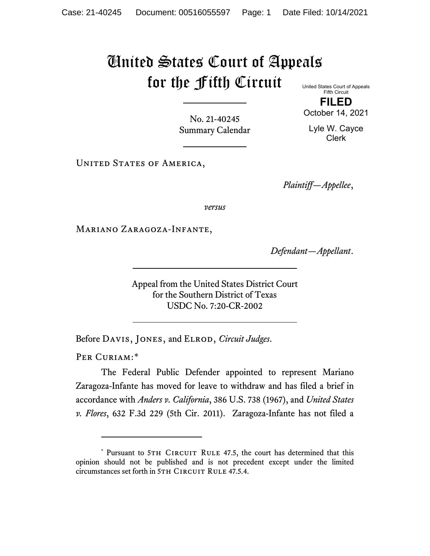## United States Court of Appeals for the Fifth Circuit United States Court of Appeals

Fifth Circuit **FILED**

No. 21-40245 Summary Calendar October 14, 2021 Lyle W. Cayce Clerk

UNITED STATES OF AMERICA,

*Plaintiff—Appellee*,

*versus*

Mariano Zaragoza-Infante,

*Defendant—Appellant*.

Appeal from the United States District Court for the Southern District of Texas USDC No. 7:20-CR-2002

Before Davis, Jones, and Elrod, *Circuit Judges*.

PER CURIAM:[\\*](#page-0-0)

The Federal Public Defender appointed to represent Mariano Zaragoza-Infante has moved for leave to withdraw and has filed a brief in accordance with *Anders v. California*, 386 U.S. 738 (1967), and *United States v. Flores*, 632 F.3d 229 (5th Cir. 2011). Zaragoza-Infante has not filed a

<span id="page-0-0"></span><sup>\*</sup> Pursuant to 5TH CIRCUIT RULE 47.5, the court has determined that this opinion should not be published and is not precedent except under the limited circumstances set forth in 5TH CIRCUIT RULE 47.5.4.